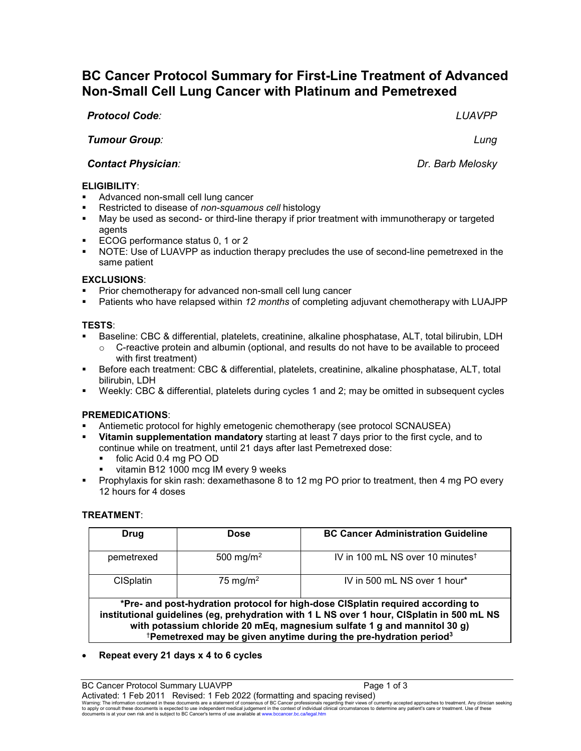# **BC Cancer Protocol Summary for First-Line Treatment of Advanced Non-Small Cell Lung Cancer with Platinum and Pemetrexed**

*Protocol Code: LUAVPP*

*Tumour Group: Lung*

**Contact Physician**: **Dr. Barb Melosky** 

### **ELIGIBILITY**:

- Advanced non-small cell lung cancer
- Restricted to disease of *non-squamous cell* histology
- May be used as second- or third-line therapy if prior treatment with immunotherapy or targeted agents
- ECOG performance status 0, 1 or 2
- NOTE: Use of LUAVPP as induction therapy precludes the use of second-line pemetrexed in the same patient

### **EXCLUSIONS**:

- Prior chemotherapy for advanced non-small cell lung cancer
- Patients who have relapsed within *12 months* of completing adjuvant chemotherapy with LUAJPP

### **TESTS**:

- Baseline: CBC & differential, platelets, creatinine, alkaline phosphatase, ALT, total bilirubin, LDH
	- C-reactive protein and albumin (optional, and results do not have to be available to proceed with first treatment)
- Before each treatment: CBC & differential, platelets, creatinine, alkaline phosphatase, ALT, total bilirubin, LDH
- Weekly: CBC & differential, platelets during cycles 1 and 2; may be omitted in subsequent cycles

### **PREMEDICATIONS**:

- Antiemetic protocol for highly emetogenic chemotherapy (see protocol SCNAUSEA)
- **Vitamin supplementation mandatory** starting at least 7 days prior to the first cycle, and to continue while on treatment, until 21 days after last Pemetrexed dose:
	- folic Acid 0.4 mg PO OD
	- vitamin B12 1000 mcg IM every 9 weeks
- **Prophylaxis for skin rash: dexamethasone 8 to 12 mg PO prior to treatment, then 4 mg PO every** 12 hours for 4 doses

### **TREATMENT**:

| Drug                                                                                                                                                                                                                                                                                                                                                   | Dose                  | <b>BC Cancer Administration Guideline</b>    |  |  |
|--------------------------------------------------------------------------------------------------------------------------------------------------------------------------------------------------------------------------------------------------------------------------------------------------------------------------------------------------------|-----------------------|----------------------------------------------|--|--|
|                                                                                                                                                                                                                                                                                                                                                        |                       | IV in 100 mL NS over 10 minutes <sup>t</sup> |  |  |
| pemetrexed                                                                                                                                                                                                                                                                                                                                             | 500 mg/m <sup>2</sup> |                                              |  |  |
| <b>CISplatin</b>                                                                                                                                                                                                                                                                                                                                       | 75 mg/m <sup>2</sup>  | IV in 500 mL NS over 1 hour*                 |  |  |
|                                                                                                                                                                                                                                                                                                                                                        |                       |                                              |  |  |
| *Pre- and post-hydration protocol for high-dose CISplatin required according to<br>institutional guidelines (eg, prehydration with 1 L NS over 1 hour, CISplatin in 500 mL NS<br>with potassium chloride 20 mEq, magnesium sulfate 1 g and mannitol 30 g)<br><sup>†</sup> Pemetrexed may be given anytime during the pre-hydration period <sup>3</sup> |                       |                                              |  |  |

## • **Repeat every 21 days x 4 to 6 cycles**

BC Cancer Protocol Summary LUAVPP **Page 1** of 3 Activated: 1 Feb 2011 Revised: 1 Feb 2022 (formatting and spacing revised)

Warning: The information contained in these documents are a statement of consensus of BC Cancer professionals regarding their views of currently accepted approaches to teatment. Any clinician seeking<br>to apply or consult th documents is at your own risk and is subject to BC Cancer's terms of use available a[t www.bccancer.bc.ca/legal.htm](file://srvnetapp02/bcca/EVERYONE/Legal.htm)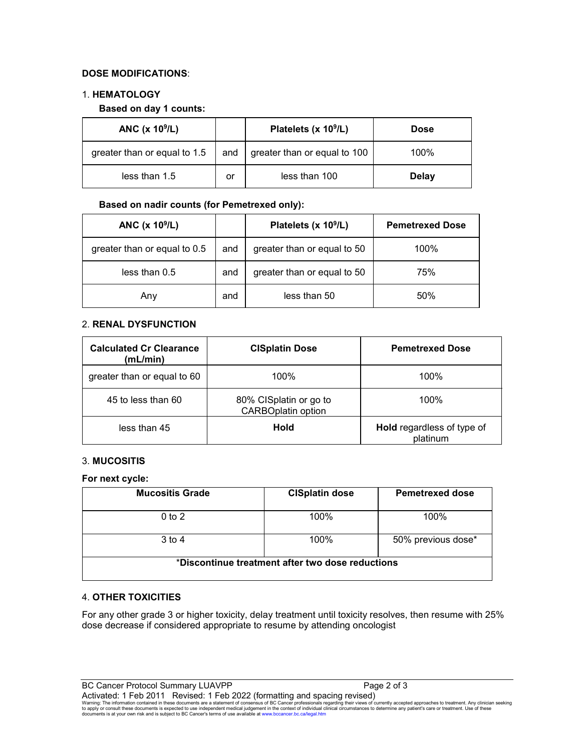### **DOSE MODIFICATIONS**:

#### 1. **HEMATOLOGY**

#### **Based on day 1 counts:**

| ANC $(x 109/L)$              |    | Platelets (x 10 <sup>9</sup> /L)         | <b>Dose</b>  |
|------------------------------|----|------------------------------------------|--------------|
| greater than or equal to 1.5 |    | and $\vert$ greater than or equal to 100 | 100%         |
| less than $1.5$              | or | less than 100                            | <b>Delay</b> |

#### **Based on nadir counts (for Pemetrexed only):**

| ANC (x 10 <sup>9</sup> /L)   |     | Platelets (x 10 <sup>9</sup> /L) | <b>Pemetrexed Dose</b> |
|------------------------------|-----|----------------------------------|------------------------|
| greater than or equal to 0.5 | and | greater than or equal to 50      | 100%                   |
| less than 0.5                | and | greater than or equal to 50      | 75%                    |
| Any                          | and | less than 50                     | 50%                    |

## 2. **RENAL DYSFUNCTION**

| <b>Calculated Cr Clearance</b><br>(mL/min) | <b>CISplatin Dose</b>                               | <b>Pemetrexed Dose</b>                        |
|--------------------------------------------|-----------------------------------------------------|-----------------------------------------------|
| greater than or equal to 60                | 100%                                                | 100%                                          |
| 45 to less than 60                         | 80% CISplatin or go to<br><b>CARBOplatin option</b> | 100%                                          |
| less than 45                               | Hold                                                | <b>Hold</b> regardless of type of<br>platinum |

### 3. **MUCOSITIS**

**For next cycle:**

| <b>Mucositis Grade</b>                           | <b>CISplatin dose</b> | <b>Pemetrexed dose</b> |  |
|--------------------------------------------------|-----------------------|------------------------|--|
| $0$ to $2$                                       | 100%                  | 100%                   |  |
| $3$ to 4                                         | 100%                  | 50% previous dose*     |  |
| *Discontinue treatment after two dose reductions |                       |                        |  |

### 4. **OTHER TOXICITIES**

For any other grade 3 or higher toxicity, delay treatment until toxicity resolves, then resume with 25% dose decrease if considered appropriate to resume by attending oncologist

BC Cancer Protocol Summary LUAVPP Page 2 of 3 Activated: 1 Feb 2011 Revised: 1 Feb 2022 (formatting and spacing revised) Warning: The information contained in these documents are a statement of consensus of BC Cancer professionals regarding their views of currently accepted approaches to treatment. Any clinician seeking<br>to apply or consult t